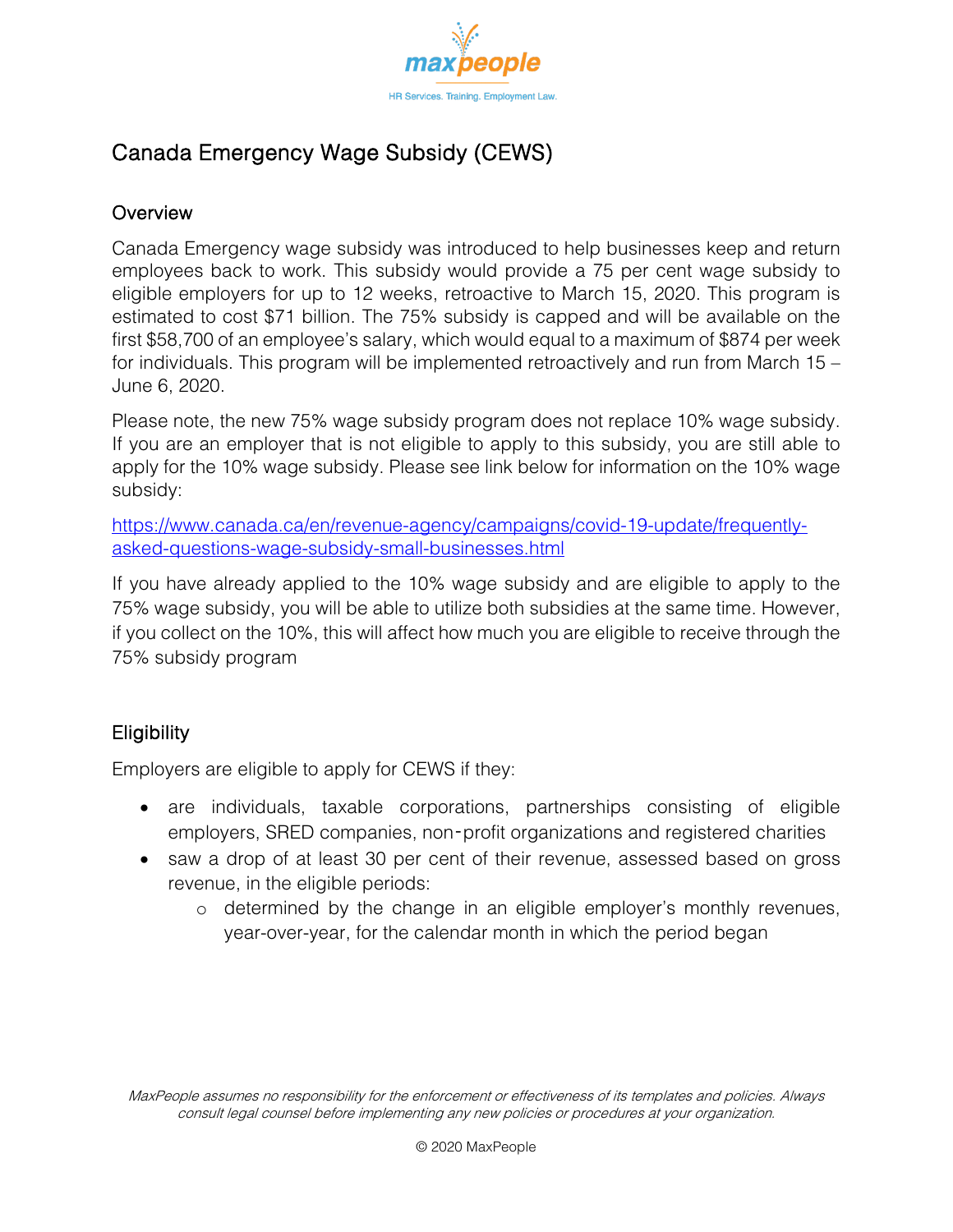

# Canada Emergency Wage Subsidy (CEWS)

### **Overview**

Canada Emergency wage subsidy was introduced to help businesses keep and return employees back to work. This subsidy would provide a 75 per cent wage subsidy to eligible employers for up to 12 weeks, retroactive to March 15, 2020. This program is estimated to cost \$71 billion. The 75% subsidy is capped and will be available on the first \$58,700 of an employee's salary, which would equal to a maximum of \$874 per week for individuals. This program will be implemented retroactively and run from March 15 – June 6, 2020.

Please note, the new 75% wage subsidy program does not replace 10% wage subsidy. If you are an employer that is not eligible to apply to this subsidy, you are still able to apply for the 10% wage subsidy. Please see link below for information on the 10% wage subsidy:

[https://www.canada.ca/en/revenue-agency/campaigns/covid-19-update/frequently](https://www.canada.ca/en/revenue-agency/campaigns/covid-19-update/frequently-asked-questions-wage-subsidy-small-businesses.html)[asked-questions-wage-subsidy-small-businesses.html](https://www.canada.ca/en/revenue-agency/campaigns/covid-19-update/frequently-asked-questions-wage-subsidy-small-businesses.html)

If you have already applied to the 10% wage subsidy and are eligible to apply to the 75% wage subsidy, you will be able to utilize both subsidies at the same time. However, if you collect on the 10%, this will affect how much you are eligible to receive through the 75% subsidy program

## **Eligibility**

Employers are eligible to apply for CEWS if they:

- are individuals, taxable corporations, partnerships consisting of eligible employers, SRED companies, non‑profit organizations and registered charities
- saw a drop of at least 30 per cent of their revenue, assessed based on gross revenue, in the eligible periods:
	- o determined by the change in an eligible employer's monthly revenues, year-over-year, for the calendar month in which the period began

MaxPeople assumes no responsibility for the enforcement or effectiveness of its templates and policies. Always consult legal counsel before implementing any new policies or procedures at your organization.